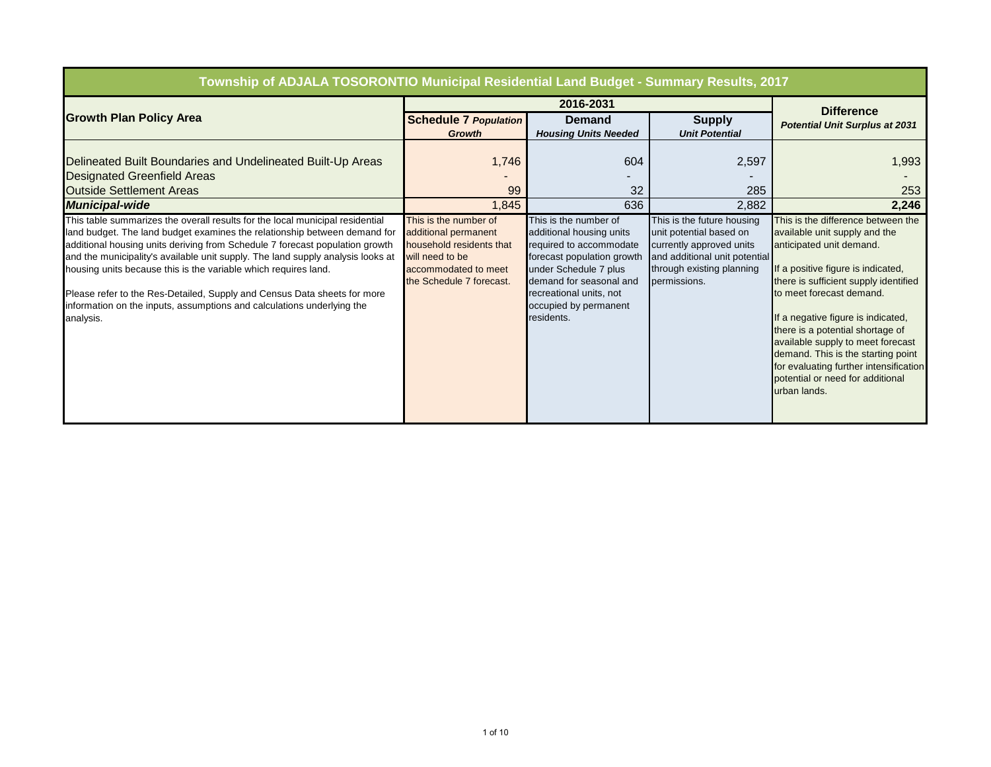| Township of ADJALA TOSORONTIO Municipal Residential Land Budget - Summary Results, 2017                                                                                                                                                                                                                                                                                                                                                                                                                                                                             |                                                                                                                                                  |                                                                                                                                                                                                                                  |                                                                                                                                                                 |                                                                                                                                                                                                                                                                                                                                                                                                                                                               |
|---------------------------------------------------------------------------------------------------------------------------------------------------------------------------------------------------------------------------------------------------------------------------------------------------------------------------------------------------------------------------------------------------------------------------------------------------------------------------------------------------------------------------------------------------------------------|--------------------------------------------------------------------------------------------------------------------------------------------------|----------------------------------------------------------------------------------------------------------------------------------------------------------------------------------------------------------------------------------|-----------------------------------------------------------------------------------------------------------------------------------------------------------------|---------------------------------------------------------------------------------------------------------------------------------------------------------------------------------------------------------------------------------------------------------------------------------------------------------------------------------------------------------------------------------------------------------------------------------------------------------------|
|                                                                                                                                                                                                                                                                                                                                                                                                                                                                                                                                                                     |                                                                                                                                                  | 2016-2031                                                                                                                                                                                                                        |                                                                                                                                                                 | <b>Difference</b>                                                                                                                                                                                                                                                                                                                                                                                                                                             |
| <b>Growth Plan Policy Area</b>                                                                                                                                                                                                                                                                                                                                                                                                                                                                                                                                      | <b>Schedule 7 Population</b><br><b>Growth</b>                                                                                                    | <b>Demand</b><br><b>Housing Units Needed</b>                                                                                                                                                                                     | <b>Supply</b><br><b>Unit Potential</b>                                                                                                                          | <b>Potential Unit Surplus at 2031</b>                                                                                                                                                                                                                                                                                                                                                                                                                         |
| Delineated Built Boundaries and Undelineated Built-Up Areas<br><b>Designated Greenfield Areas</b><br><b>Outside Settlement Areas</b><br><b>Municipal-wide</b>                                                                                                                                                                                                                                                                                                                                                                                                       | 1,746<br>99<br>1,845                                                                                                                             | 604<br>32<br>636                                                                                                                                                                                                                 | 2,597<br>285<br>2,882                                                                                                                                           | 1,993<br>253<br>2,246                                                                                                                                                                                                                                                                                                                                                                                                                                         |
| This table summarizes the overall results for the local municipal residential<br>land budget. The land budget examines the relationship between demand for<br>additional housing units deriving from Schedule 7 forecast population growth<br>and the municipality's available unit supply. The land supply analysis looks at<br>housing units because this is the variable which requires land.<br>Please refer to the Res-Detailed, Supply and Census Data sheets for more<br>information on the inputs, assumptions and calculations underlying the<br>analysis. | This is the number of<br>additional permanent<br>household residents that<br>will need to be<br>accommodated to meet<br>the Schedule 7 forecast. | This is the number of<br>additional housing units<br>required to accommodate<br>forecast population growth<br>under Schedule 7 plus<br>demand for seasonal and<br>recreational units, not<br>occupied by permanent<br>residents. | This is the future housing<br>unit potential based on<br>currently approved units<br>and additional unit potential<br>through existing planning<br>permissions. | This is the difference between the<br>available unit supply and the<br>anticipated unit demand.<br>If a positive figure is indicated,<br>there is sufficient supply identified<br>to meet forecast demand.<br>If a negative figure is indicated,<br>there is a potential shortage of<br>available supply to meet forecast<br>demand. This is the starting point<br>for evaluating further intensification<br>potential or need for additional<br>urban lands. |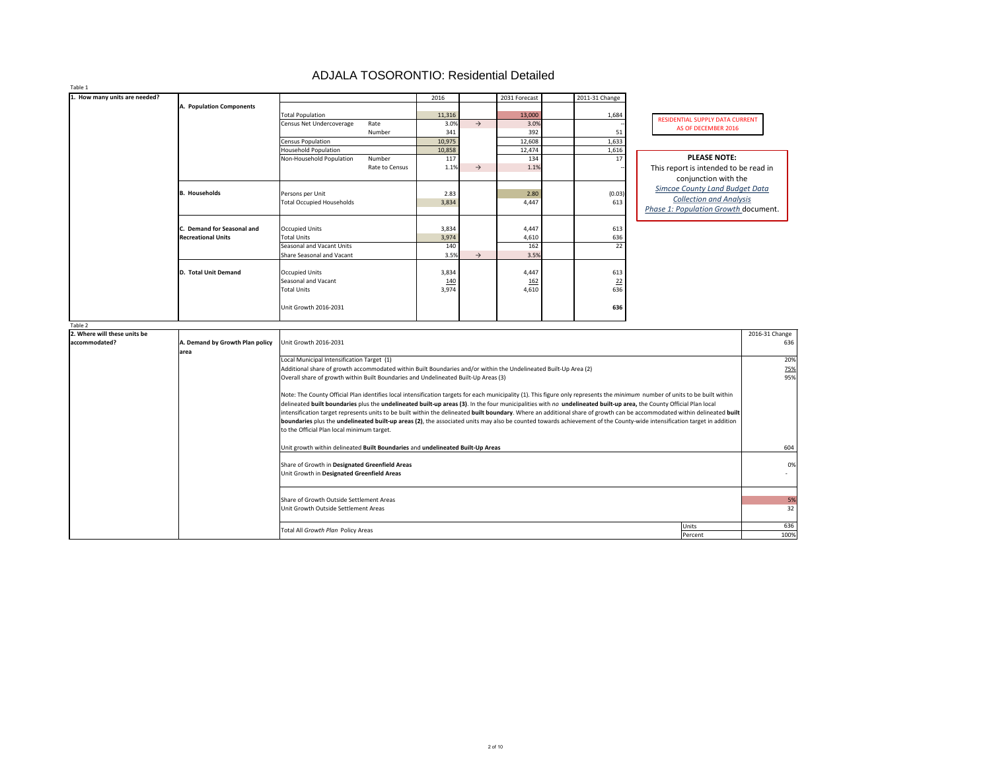| Table 1                       |                                 |                                                                                                                                                                                      |            |               |               |                |                                             |                |
|-------------------------------|---------------------------------|--------------------------------------------------------------------------------------------------------------------------------------------------------------------------------------|------------|---------------|---------------|----------------|---------------------------------------------|----------------|
| 1. How many units are needed? |                                 |                                                                                                                                                                                      | 2016       |               | 2031 Forecast | 2011-31 Change |                                             |                |
|                               | A. Population Components        |                                                                                                                                                                                      |            |               |               |                |                                             |                |
|                               |                                 | <b>Total Population</b>                                                                                                                                                              | 11,316     |               | 13,000        | 1,684          | RESIDENTIAL SUPPLY DATA CURRENT             |                |
|                               |                                 | Rate<br>Census Net Undercoverage                                                                                                                                                     | 3.0%       | $\rightarrow$ | 3.0%          |                | AS OF DECEMBER 2016                         |                |
|                               |                                 | Number                                                                                                                                                                               | 341        |               | 392           | 51             |                                             |                |
|                               |                                 | <b>Census Population</b>                                                                                                                                                             | 10,975     |               | 12,608        | 1,633          |                                             |                |
|                               |                                 | <b>Household Population</b>                                                                                                                                                          | 10,858     |               | 12,474        | 1,616          |                                             |                |
|                               |                                 | Number<br>Non-Household Population                                                                                                                                                   | 117        |               | 134           | 17             | <b>PLEASE NOTE:</b>                         |                |
|                               |                                 | Rate to Census                                                                                                                                                                       | 1.1%       | $\rightarrow$ | 1.1%          |                | This report is intended to be read in       |                |
|                               |                                 |                                                                                                                                                                                      |            |               |               |                | conjunction with the                        |                |
|                               | <b>B.</b> Households            | Persons per Unit                                                                                                                                                                     | 2.83       |               | 2.80          | (0.03)         | <b>Simcoe County Land Budget Data</b>       |                |
|                               |                                 | <b>Total Occupied Households</b>                                                                                                                                                     | 3,834      |               | 4,447         | 613            | <b>Collection and Analysis</b>              |                |
|                               |                                 |                                                                                                                                                                                      |            |               |               |                | <b>Phase 1: Population Growth document.</b> |                |
|                               |                                 |                                                                                                                                                                                      |            |               |               |                |                                             |                |
|                               | C. Demand for Seasonal and      | <b>Occupied Units</b>                                                                                                                                                                | 3,834      |               | 4,447         | 613            |                                             |                |
|                               | <b>Recreational Units</b>       | <b>Total Units</b>                                                                                                                                                                   | 3,974      |               | 4,610         | 636            |                                             |                |
|                               |                                 | <b>Seasonal and Vacant Units</b>                                                                                                                                                     | 140        |               | 162           | 22             |                                             |                |
|                               |                                 | <b>Share Seasonal and Vacant</b>                                                                                                                                                     | 3.5%       | $\rightarrow$ | 3.5%          |                |                                             |                |
|                               |                                 |                                                                                                                                                                                      |            |               |               |                |                                             |                |
|                               | D. Total Unit Demand            | <b>Occupied Units</b>                                                                                                                                                                | 3,834      |               | 4,447         | 613            |                                             |                |
|                               |                                 | <b>Seasonal and Vacant</b>                                                                                                                                                           | <u>140</u> |               | <u>162</u>    | 22             |                                             |                |
|                               |                                 | <b>Total Units</b>                                                                                                                                                                   | 3,974      |               | 4,610         | 636            |                                             |                |
|                               |                                 |                                                                                                                                                                                      |            |               |               |                |                                             |                |
|                               |                                 | Unit Growth 2016-2031                                                                                                                                                                |            |               |               | 636            |                                             |                |
|                               |                                 |                                                                                                                                                                                      |            |               |               |                |                                             |                |
| Table 2                       |                                 |                                                                                                                                                                                      |            |               |               |                |                                             |                |
| 2. Where will these units be  |                                 |                                                                                                                                                                                      |            |               |               |                |                                             | 2016-31 Change |
| accommodated?                 | A. Demand by Growth Plan policy | Unit Growth 2016-2031                                                                                                                                                                |            |               |               |                |                                             | 636            |
|                               | area                            |                                                                                                                                                                                      |            |               |               |                |                                             |                |
|                               |                                 | Local Municipal Intensification Target (1)                                                                                                                                           |            |               |               |                |                                             | 20%            |
|                               |                                 | Additional share of growth accommodated within Built Boundaries and/or within the Undelineated Built-Up Area (2)                                                                     |            |               |               |                |                                             | <u>75%</u>     |
|                               |                                 | Overall share of growth within Built Boundaries and Undelineated Built-Up Areas (3)                                                                                                  |            |               |               |                |                                             | 95%            |
|                               |                                 |                                                                                                                                                                                      |            |               |               |                |                                             |                |
|                               |                                 | Note: The County Official Plan identifies local intensification targets for each municipality (1). This figure only represents the <i>minimum</i> number of units to be built within |            |               |               |                |                                             |                |
|                               |                                 | delineated built boundaries plus the undelineated built-up areas (3). In the four municipalities with no undelineated built-up area, the County Official Plan local                  |            |               |               |                |                                             |                |
|                               |                                 | intensification target represents units to be built within the delineated built boundary. Where an additional share of growth can be accommodated within delineated built            |            |               |               |                |                                             |                |
|                               |                                 | boundaries plus the undelineated built-up areas (2), the associated units may also be counted towards achievement of the County-wide intensification target in addition              |            |               |               |                |                                             |                |
|                               |                                 | to the Official Plan local minimum target.                                                                                                                                           |            |               |               |                |                                             |                |
|                               |                                 | Unit growth within delineated Built Boundaries and undelineated Built-Up Areas                                                                                                       |            |               |               |                |                                             | 604            |
|                               |                                 |                                                                                                                                                                                      |            |               |               |                |                                             |                |
|                               |                                 | Share of Growth in Designated Greenfield Areas                                                                                                                                       |            |               |               |                |                                             | 0%             |
|                               |                                 | Unit Growth in Designated Greenfield Areas                                                                                                                                           |            |               |               |                |                                             | $\sim 100$     |
|                               |                                 |                                                                                                                                                                                      |            |               |               |                |                                             |                |
|                               |                                 |                                                                                                                                                                                      |            |               |               |                |                                             |                |
|                               |                                 | Share of Growth Outside Settlement Areas                                                                                                                                             |            |               |               |                |                                             | 5%             |
|                               |                                 | Unit Growth Outside Settlement Areas                                                                                                                                                 |            |               |               |                |                                             | 32             |
|                               |                                 |                                                                                                                                                                                      |            |               |               |                |                                             |                |
|                               |                                 |                                                                                                                                                                                      |            |               |               |                | Units                                       | 636            |
|                               |                                 | Total All Growth Plan Policy Areas                                                                                                                                                   |            |               |               |                | Percent                                     | 100%           |

## ADJALA TOSORONTIO: Residential Detailed

| RESIDENTIAL SUPPLY DATA CURRENT |
|---------------------------------|
| AS OF DECEMBER 2016             |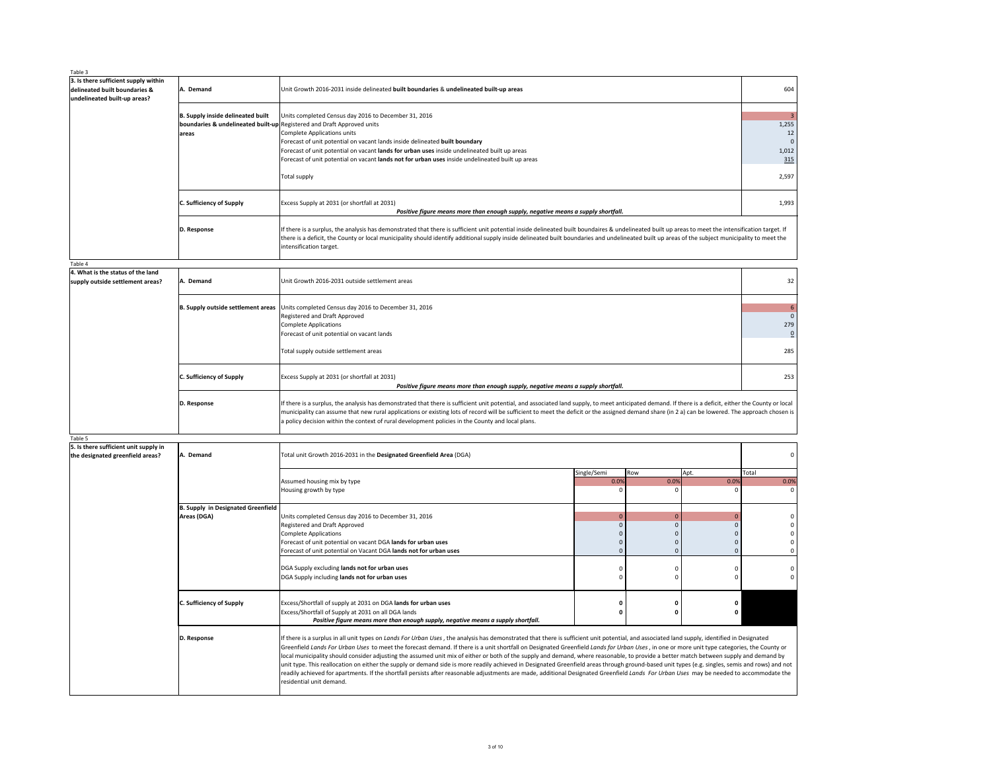| Table 3                                                                                               |                                                   |                                                                                                                                                                                                                                                                                                                                                                                                                                                                                                                                                                                                                                                                                                                                                                                                                                                                                                                                                                                                                  |                     |                    |                             |                                                                          |
|-------------------------------------------------------------------------------------------------------|---------------------------------------------------|------------------------------------------------------------------------------------------------------------------------------------------------------------------------------------------------------------------------------------------------------------------------------------------------------------------------------------------------------------------------------------------------------------------------------------------------------------------------------------------------------------------------------------------------------------------------------------------------------------------------------------------------------------------------------------------------------------------------------------------------------------------------------------------------------------------------------------------------------------------------------------------------------------------------------------------------------------------------------------------------------------------|---------------------|--------------------|-----------------------------|--------------------------------------------------------------------------|
| 3. Is there sufficient supply within<br>delineated built boundaries &<br>undelineated built-up areas? | A. Demand                                         | Unit Growth 2016-2031 inside delineated built boundaries & undelineated built-up areas                                                                                                                                                                                                                                                                                                                                                                                                                                                                                                                                                                                                                                                                                                                                                                                                                                                                                                                           |                     |                    |                             | 604                                                                      |
|                                                                                                       | B. Supply inside delineated built<br>lareas       | Units completed Census day 2016 to December 31, 2016<br>boundaries & undelineated built-up Registered and Draft Approved units<br>Complete Applications units<br>Forecast of unit potential on vacant lands inside delineated built boundary<br>Forecast of unit potential on vacant lands for urban uses inside undelineated built up areas<br>Forecast of unit potential on vacant lands not for urban uses inside undelineated built up areas<br><b>Total supply</b>                                                                                                                                                                                                                                                                                                                                                                                                                                                                                                                                          |                     |                    |                             | $\overline{3}$<br>1,255<br>12<br>$\overline{0}$<br>1,012<br>315<br>2,597 |
|                                                                                                       | <b>C. Sufficiency of Supply</b>                   | Excess Supply at 2031 (or shortfall at 2031)<br>Positive figure means more than enough supply, negative means a supply shortfall.                                                                                                                                                                                                                                                                                                                                                                                                                                                                                                                                                                                                                                                                                                                                                                                                                                                                                |                     |                    |                             | 1,993                                                                    |
|                                                                                                       | D. Response                                       | If there is a surplus, the analysis has demonstrated that there is sufficient unit potential inside delineated built boundaires & undelineated built up areas to meet the intensification target. If<br>there is a deficit, the County or local municipality should identify additional supply inside delineated built boundaries and undelineated built up areas of the subject municipality to meet the<br>intensification target.                                                                                                                                                                                                                                                                                                                                                                                                                                                                                                                                                                             |                     |                    |                             |                                                                          |
| Table 4                                                                                               |                                                   |                                                                                                                                                                                                                                                                                                                                                                                                                                                                                                                                                                                                                                                                                                                                                                                                                                                                                                                                                                                                                  |                     |                    |                             |                                                                          |
| 4. What is the status of the land<br>supply outside settlement areas?                                 | A. Demand                                         | Unit Growth 2016-2031 outside settlement areas                                                                                                                                                                                                                                                                                                                                                                                                                                                                                                                                                                                                                                                                                                                                                                                                                                                                                                                                                                   |                     |                    |                             | 32                                                                       |
|                                                                                                       |                                                   | B. Supply outside settlement areas Units completed Census day 2016 to December 31, 2016<br>Registered and Draft Approved<br>Complete Applications<br>Forecast of unit potential on vacant lands                                                                                                                                                                                                                                                                                                                                                                                                                                                                                                                                                                                                                                                                                                                                                                                                                  |                     |                    |                             | $\boldsymbol{6}$<br>$\mathbf 0$<br>279<br>$\underline{0}$                |
|                                                                                                       |                                                   | Total supply outside settlement areas                                                                                                                                                                                                                                                                                                                                                                                                                                                                                                                                                                                                                                                                                                                                                                                                                                                                                                                                                                            |                     |                    |                             | 285                                                                      |
|                                                                                                       | <b>C. Sufficiency of Supply</b>                   | Excess Supply at 2031 (or shortfall at 2031)<br>Positive figure means more than enough supply, negative means a supply shortfall.                                                                                                                                                                                                                                                                                                                                                                                                                                                                                                                                                                                                                                                                                                                                                                                                                                                                                |                     |                    |                             | 253                                                                      |
|                                                                                                       | D. Response                                       | If there is a surplus, the analysis has demonstrated that there is sufficient unit potential, and associated land supply, to meet anticipated demand. If there is a deficit, either the County or local<br>municipality can assume that new rural applications or existing lots of record will be sufficient to meet the deficit or the assigned demand share (in 2 a) can be lowered. The approach chosen is<br>a policy decision within the context of rural development policies in the County and local plans.                                                                                                                                                                                                                                                                                                                                                                                                                                                                                               |                     |                    |                             |                                                                          |
| Table 5                                                                                               |                                                   |                                                                                                                                                                                                                                                                                                                                                                                                                                                                                                                                                                                                                                                                                                                                                                                                                                                                                                                                                                                                                  |                     |                    |                             |                                                                          |
| 5. Is there sufficient unit supply in<br>the designated greenfield areas?                             | A. Demand                                         | Total unit Growth 2016-2031 in the Designated Greenfield Area (DGA)                                                                                                                                                                                                                                                                                                                                                                                                                                                                                                                                                                                                                                                                                                                                                                                                                                                                                                                                              |                     |                    |                             | 0                                                                        |
|                                                                                                       |                                                   | Assumed housing mix by type<br>Housing growth by type                                                                                                                                                                                                                                                                                                                                                                                                                                                                                                                                                                                                                                                                                                                                                                                                                                                                                                                                                            | Single/Semi<br>0.0% | Row<br>0.0%<br>- 0 | Apt.<br>0.0%                | Total<br>0.0%<br>0                                                       |
|                                                                                                       | B. Supply in Designated Greenfield<br>Areas (DGA) | Units completed Census day 2016 to December 31, 2016<br>Registered and Draft Approved<br>Complete Applications<br>Forecast of unit potential on vacant DGA lands for urban uses<br>Forecast of unit potential on Vacant DGA lands not for urban uses                                                                                                                                                                                                                                                                                                                                                                                                                                                                                                                                                                                                                                                                                                                                                             | $\Omega$            | $\overline{0}$     |                             | $\mathbf{0}$                                                             |
|                                                                                                       |                                                   | DGA Supply excluding lands not for urban uses<br>DGA Supply including lands not for urban uses                                                                                                                                                                                                                                                                                                                                                                                                                                                                                                                                                                                                                                                                                                                                                                                                                                                                                                                   |                     | -0<br>$\Omega$     |                             | 0                                                                        |
|                                                                                                       | <b>C. Sufficiency of Supply</b>                   | Excess/Shortfall of supply at 2031 on DGA lands for urban uses<br>Excess/Shortfall of Supply at 2031 on all DGA lands<br>Positive figure means more than enough supply, negative means a supply shortfall.                                                                                                                                                                                                                                                                                                                                                                                                                                                                                                                                                                                                                                                                                                                                                                                                       | 0                   | - 0<br>0           | $\mathbf 0$<br>$\mathbf{0}$ |                                                                          |
|                                                                                                       | D. Response                                       | If there is a surplus in all unit types on Lands For Urban Uses, the analysis has demonstrated that there is sufficient unit potential, and associated land supply, identified in Designated<br>Greenfield Lands For Urban Uses to meet the forecast demand. If there is a unit shortfall on Designated Greenfield Lands for Urban Uses, in one or more unit type categories, the County or<br>local municipality should consider adjusting the assumed unit mix of either or both of the supply and demand, where reasonable, to provide a better match between supply and demand by<br>unit type. This reallocation on either the supply or demand side is more readily achieved in Designated Greenfield areas through ground-based unit types (e.g. singles, semis and rows) and not<br>readily achieved for apartments. If the shortfall persists after reasonable adjustments are made, additional Designated Greenfield Lands For Urban Uses may be needed to accommodate the<br>residential unit demand. |                     |                    |                             |                                                                          |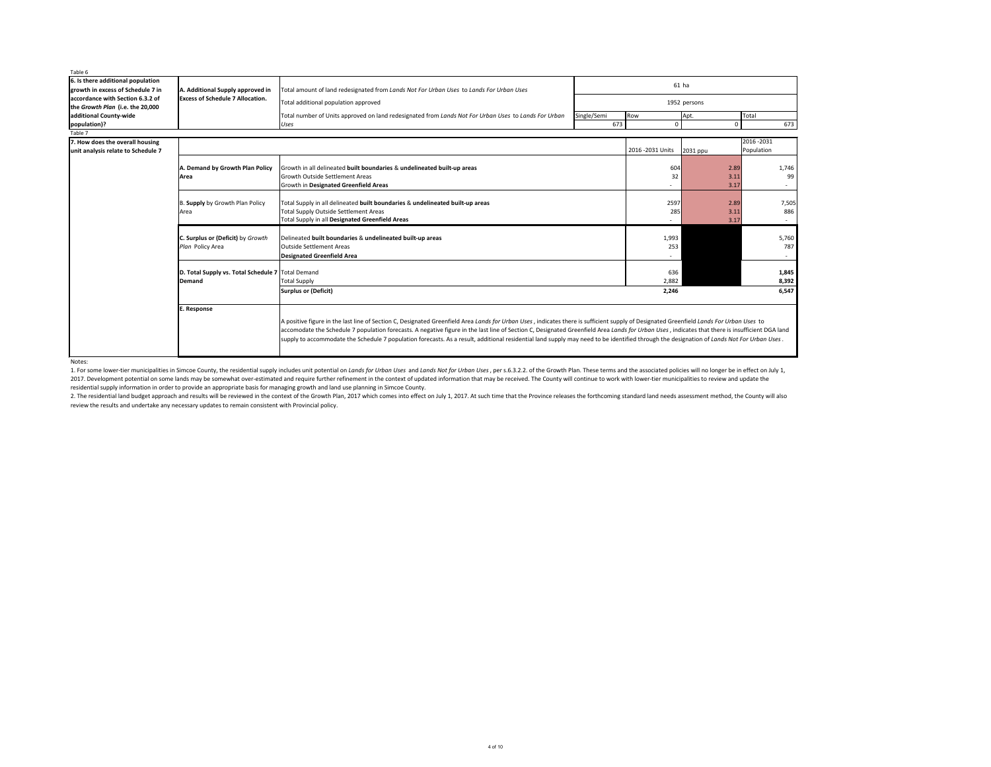### Notes:

1. For some lower-tier municipalities in Simcoe County, the residential supply includes unit potential on Lands for Urban Uses and Lands Not for Urban Uses, per s.6.3.2.2. of the Growth Plan. These terms and the associated 2017. Development potential on some lands may be somewhat over-estimated and require further refinement in the context of updated information that may be received. The County will continue to work with lower-tier municipal residential supply information in order to provide an appropriate basis for managing growth and land use planning in Simcoe County.

2. The residential land budget approach and results will be reviewed in the context of the Growth Plan, 2017 which comes into effect on July 1, 2017. At such time that the Province releases the forthcoming standard land ne review the results and undertake any necessary updates to remain consistent with Provincial policy.

| Table 6                            |                                                     |                                                                                                                                                                                                 |             |                   |              |             |       |
|------------------------------------|-----------------------------------------------------|-------------------------------------------------------------------------------------------------------------------------------------------------------------------------------------------------|-------------|-------------------|--------------|-------------|-------|
| 6. Is there additional population  |                                                     |                                                                                                                                                                                                 |             |                   | $61$ ha      |             |       |
| growth in excess of Schedule 7 in  | A. Additional Supply approved in                    | Total amount of land redesignated from Lands Not For Urban Uses to Lands For Urban Uses                                                                                                         |             |                   |              |             |       |
| laccordance with Section 6.3.2 of  | <b>Excess of Schedule 7 Allocation.</b>             | Total additional population approved                                                                                                                                                            |             |                   | 1952 persons |             |       |
| the Growth Plan (i.e. the 20,000   |                                                     |                                                                                                                                                                                                 |             |                   |              |             |       |
| additional County-wide             |                                                     | Total number of Units approved on land redesignated from Lands Not For Urban Uses to Lands For Urban                                                                                            | Single/Semi | Row               | Apt.         | Total       |       |
| population)?                       |                                                     | Uses                                                                                                                                                                                            | 673         | $\Omega$          |              | $\Omega$    | 673   |
| Table 7                            |                                                     |                                                                                                                                                                                                 |             |                   |              |             |       |
| 7. How does the overall housing    |                                                     |                                                                                                                                                                                                 |             |                   |              | 2016 - 2031 |       |
| unit analysis relate to Schedule 7 |                                                     |                                                                                                                                                                                                 |             | 2016 - 2031 Units | 2031 ppu     | Population  |       |
|                                    |                                                     |                                                                                                                                                                                                 |             |                   |              |             |       |
|                                    | A. Demand by Growth Plan Policy                     | Growth in all delineated built boundaries & undelineated built-up areas                                                                                                                         |             | 604               |              | 2.89        | 1,746 |
|                                    | Area                                                | <b>Growth Outside Settlement Areas</b>                                                                                                                                                          |             | 32                |              | 3.11        | 99    |
|                                    |                                                     | Growth in Designated Greenfield Areas                                                                                                                                                           |             |                   |              | 3.17        |       |
|                                    |                                                     |                                                                                                                                                                                                 |             |                   |              |             |       |
|                                    | B. Supply by Growth Plan Policy                     | Total Supply in all delineated built boundaries & undelineated built-up areas                                                                                                                   |             | 2597              |              | 2.89        | 7,505 |
|                                    | Area                                                | <b>Total Supply Outside Settlement Areas</b>                                                                                                                                                    |             | 285               |              | 3.11        | 886   |
|                                    |                                                     | Total Supply in all Designated Greenfield Areas                                                                                                                                                 |             |                   |              | 3.17        |       |
|                                    |                                                     |                                                                                                                                                                                                 |             |                   |              |             |       |
|                                    | C. Surplus or (Deficit) by Growth                   | Delineated built boundaries & undelineated built-up areas                                                                                                                                       |             | 1,993             |              |             | 5,760 |
|                                    | Plan Policy Area                                    | <b>Outside Settlement Areas</b>                                                                                                                                                                 |             | 253               |              |             | 787   |
|                                    |                                                     | <b>Designated Greenfield Area</b>                                                                                                                                                               |             |                   |              |             |       |
|                                    |                                                     |                                                                                                                                                                                                 |             |                   |              |             |       |
|                                    | D. Total Supply vs. Total Schedule 7   Total Demand |                                                                                                                                                                                                 |             | 636               |              |             | 1,845 |
|                                    | <b>Demand</b>                                       | <b>Total Supply</b>                                                                                                                                                                             |             | 2,882             |              |             | 8,392 |
|                                    |                                                     | <b>Surplus or (Deficit)</b>                                                                                                                                                                     |             | 2,246             |              |             | 6,547 |
|                                    | <b>E. Response</b>                                  |                                                                                                                                                                                                 |             |                   |              |             |       |
|                                    |                                                     |                                                                                                                                                                                                 |             |                   |              |             |       |
|                                    |                                                     | A positive figure in the last line of Section C, Designated Greenfield Area Lands for Urban Uses, indicates there is sufficient supply of Designated Greenfield Lands For Urban Uses to         |             |                   |              |             |       |
|                                    |                                                     | accomodate the Schedule 7 population forecasts. A negative figure in the last line of Section C, Designated Greenfield Area Lands for Urban Uses, indicates that there is insufficient DGA land |             |                   |              |             |       |
|                                    |                                                     | supply to accommodate the Schedule 7 population forecasts. As a result, additional residential land supply may need to be identified through the designation of Lands Not For Urban Uses.       |             |                   |              |             |       |
|                                    |                                                     |                                                                                                                                                                                                 |             |                   |              |             |       |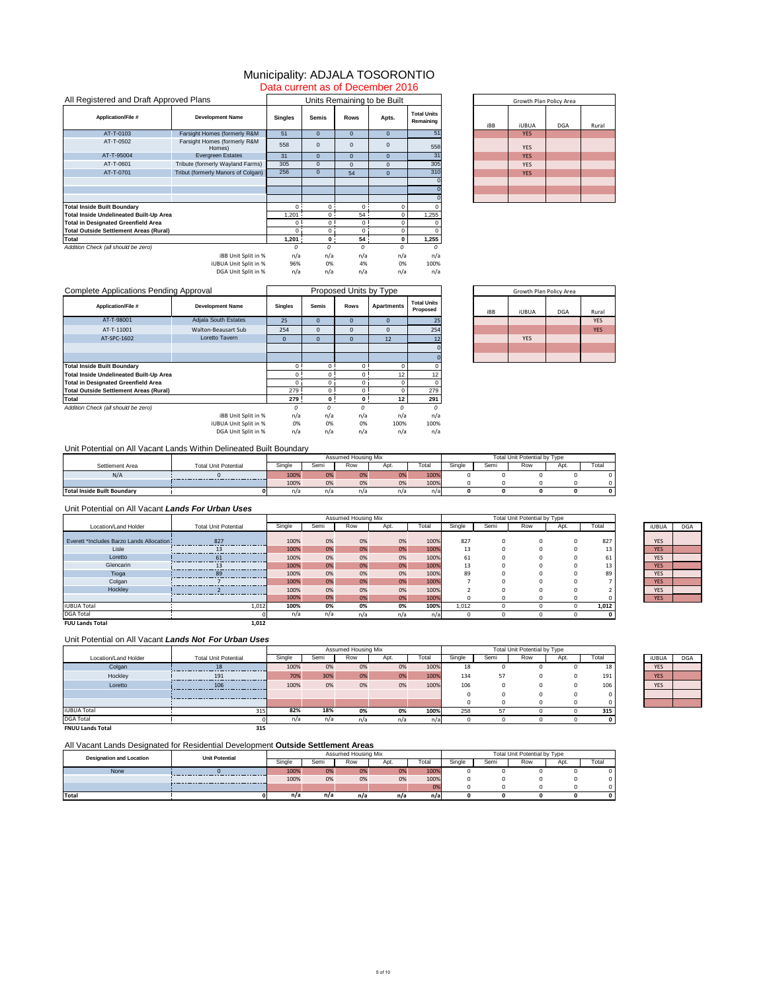|                                 |     | Growth Plan Policy Area |            |       |
|---------------------------------|-----|-------------------------|------------|-------|
| <b>Total Units</b><br>Remaining | iBB | <b>iUBUA</b>            | <b>DGA</b> | Rural |
| $\overline{51}$                 |     | <b>YES</b>              |            |       |
| 558                             |     | <b>YES</b>              |            |       |
| 31                              |     | <b>YES</b>              |            |       |
| 305                             |     | <b>YES</b>              |            |       |
| 310                             |     | <b>YES</b>              |            |       |
|                                 |     |                         |            |       |
|                                 |     |                         |            |       |
|                                 |     |                         |            |       |

| All Registered and Draft Approved Plans        |                                        |                |                |                 | Units Remaining to be Built |                                 |     | Growth      |
|------------------------------------------------|----------------------------------------|----------------|----------------|-----------------|-----------------------------|---------------------------------|-----|-------------|
| <b>Application/File #</b>                      | <b>Development Name</b>                | <b>Singles</b> | <b>Semis</b>   | <b>Rows</b>     | Apts.                       | <b>Total Units</b><br>Remaining | iBB | <b>iUBU</b> |
| AT-T-0103                                      | Farsight Homes (formerly R&M           | 51             | $\overline{0}$ | $\overline{0}$  | $\overline{0}$              | 51                              |     | <b>YES</b>  |
| AT-T-0502                                      | Farsight Homes (formerly R&M<br>Homes) | 558            | $\Omega$       | $\mathbf 0$     | 0                           | 558                             |     | <b>YES</b>  |
| AT-T-95004                                     | <b>Evergreen Estates</b>               | 31             | $\overline{0}$ | $\overline{0}$  | 0                           | 31                              |     | <b>YES</b>  |
| AT-T-0601                                      | Tribute (formerly Wayland Farms)       | 305            | $\overline{0}$ | $\overline{0}$  | 0                           | 305                             |     | <b>YES</b>  |
| AT-T-0701                                      | Tribut (formerly Manors of Colgan)     | 256            | $\overline{0}$ | 54              | 0                           | 310                             |     | <b>YES</b>  |
|                                                |                                        |                |                |                 |                             |                                 |     |             |
|                                                |                                        |                |                |                 |                             |                                 |     |             |
|                                                |                                        |                |                |                 |                             |                                 |     |             |
| <b>Total Inside Built Boundary</b>             |                                        | $\Omega$       | $0^{\circ}$    | $0^{\circ}$     | $\Omega$                    |                                 |     |             |
| <b>Total Inside Undelineated Built-Up Area</b> |                                        | 1,201          | $0$ i          | 54              | 0                           | 1,255                           |     |             |
| <b>Total in Designated Greenfield Area</b>     |                                        | 0              | 0 <sup>1</sup> | 0               | $\Omega$                    |                                 |     |             |
| <b>Total Outside Settlement Areas (Rural)</b>  |                                        | $\Omega$       | 0              | $\Omega$        | 0                           |                                 |     |             |
| <b>Total</b>                                   |                                        | 1,201          | $\mathbf{0}$   | 54 <sup>1</sup> | 0                           | 1,255                           |     |             |
| Addition Check (all should be zero)            |                                        | n              | $\Omega$       | 0               | $\Omega$                    |                                 |     |             |
|                                                | iBB Unit Split in %                    | n/a            | n/a            | n/a             | n/a                         | n/a                             |     |             |
|                                                | iUBUA Unit Split in %                  | 96%            | 0%             | 4%              | 0%                          | 100%                            |     |             |
|                                                | DGA Unit Split in %                    | n/a            | n/a            | n/a             | n/a                         | n/a                             |     |             |

|                                |     | Growth Plan Policy Area |            |            |
|--------------------------------|-----|-------------------------|------------|------------|
| <b>Total Units</b><br>Proposed | iBB | <b>iUBUA</b>            | <b>DGA</b> | Rural      |
| 25                             |     |                         |            | <b>YES</b> |
| 254                            |     |                         |            | <b>YES</b> |
| 12                             |     | <b>YES</b>              |            |            |
|                                |     |                         |            |            |
|                                |     |                         |            |            |

| <b>Complete Applications Pending Approval</b>  |                            |                |                | Proposed Units by Type |                   |                                |            | Growth Plan Policy Area |            |            |
|------------------------------------------------|----------------------------|----------------|----------------|------------------------|-------------------|--------------------------------|------------|-------------------------|------------|------------|
| <b>Application/File #</b>                      | <b>Development Name</b>    | <b>Singles</b> | <b>Semis</b>   | <b>Rows</b>            | <b>Apartments</b> | <b>Total Units</b><br>Proposed | <b>iBB</b> | <b>iUBUA</b>            | <b>DGA</b> | Rura       |
| AT-T-98001                                     | Adjala South Estates       | 25             | 0              | $\Omega$               | $\mathbf{0}$      | 25                             |            |                         |            | <b>YES</b> |
| AT-T-11001                                     | <b>Walton-Beausart Sub</b> | 254            | 0              | $\mathbf{0}$           | $\mathbf 0$       | 254                            |            |                         |            | <b>YES</b> |
| AT-SPC-1602                                    | Loretto Tavern             | $\overline{0}$ | 0              | $\mathbf{0}$           | 12                |                                |            | <b>YES</b>              |            |            |
|                                                |                            |                |                |                        |                   |                                |            |                         |            |            |
|                                                |                            |                |                |                        |                   |                                |            |                         |            |            |
| <b>Total Inside Built Boundary</b>             |                            | 0 <sup>1</sup> | $\Omega$       | 0 <sup>1</sup>         | $\Omega$          |                                |            |                         |            |            |
| <b>Total Inside Undelineated Built-Up Area</b> |                            | 0 <sup>1</sup> | $\Omega$       | 0 <sup>1</sup>         | 12                | 12 <sub>2</sub>                |            |                         |            |            |
| <b>Total in Designated Greenfield Area</b>     |                            | $\Omega$       | 0              | 0                      |                   |                                |            |                         |            |            |
| <b>Total Outside Settlement Areas (Rural)</b>  |                            | 279            | $\Omega$       | 0                      |                   | 279                            |            |                         |            |            |
| Total                                          |                            | 279            | 0 <sup>1</sup> | 0 <sup>1</sup>         | 12                | 291                            |            |                         |            |            |
| Addition Check (all should be zero)            |                            | 0              |                | $\Omega$               |                   | $\Omega$                       |            |                         |            |            |
|                                                | iBB Unit Split in %        | n/a            | n/a            | n/a                    | n/a               | n/a                            |            |                         |            |            |
|                                                | iUBUA Unit Split in %      | 0%             | 0%             | 0%                     | 100%              | 100%                           |            |                         |            |            |
|                                                | DGA Unit Split in %        | n/a            | n/a            | n/a                    | n/a               | n/a                            |            |                         |            |            |

|                                    |                             |        | <b>Assumed Housing Mix</b> |     |      |       |        |      | Total Unit Potential by Type |      |             |
|------------------------------------|-----------------------------|--------|----------------------------|-----|------|-------|--------|------|------------------------------|------|-------------|
| Settlement Area                    | <b>Total Unit Potential</b> | Single | Semi                       | Row | Apt. | Гоtal | Single | Semi | Row                          | Apt. | Total       |
| N/A                                |                             | 100%   | 0%                         | 0%  | 0%   | 100%  |        |      |                              |      |             |
|                                    |                             | 100%   | 0%                         | 0%  | 0%   | 100%  |        |      |                              |      |             |
| <b>Total Inside Built Boundary</b> |                             | n/a    | n/a                        | n/a | n/a  | n/a   |        |      |                              |      | $\mathbf 0$ |

|                         |                             |        |      | <b>Assumed Housing Mix</b> |      |       |        |      | <b>Total Unit Potential by Type</b> |      |       |              |            |
|-------------------------|-----------------------------|--------|------|----------------------------|------|-------|--------|------|-------------------------------------|------|-------|--------------|------------|
| Location/Land Holder    | <b>Total Unit Potential</b> | Single | Semi | Row                        | Apt. | Total | Single | Semi | Row                                 | Apt. | Total | <b>iUBUA</b> | <b>DGA</b> |
| Colgan                  | 18                          | 100%   | 0%   | 0%                         | 0%   | 100%  | 18     |      |                                     |      | 18    | <b>YES</b>   |            |
| Hockley                 | 191                         | 70%    | 30%  | 0%                         | 0%   | 100%  | 134    | 57   |                                     |      | 191   | <b>YES</b>   |            |
| Loretto                 | 106                         | 100%   | 0%   | 0%                         | 0%   | 100%  | 106    |      |                                     |      | 106   | <b>YES</b>   |            |
|                         |                             |        |      |                            |      |       |        |      |                                     |      |       |              |            |
|                         |                             |        |      |                            |      |       | O      |      |                                     |      |       |              |            |
| <b>iUBUA Total</b>      | 315                         | 82%    | 18%  | 0%                         | 0%   | 100%  | 258    | 57   |                                     |      | 315   |              |            |
| <b>DGA Total</b>        |                             | n/a    | n/a  | n/a                        | n/a  | n/a   | -0     |      |                                     |      |       |              |            |
| <b>FNUU Lands Total</b> | 315                         |        |      |                            |      |       |        |      |                                     |      |       |              |            |

| <b>iUBUA</b> | <b>DGA</b> |
|--------------|------------|
| <b>YES</b>   |            |
| <b>YES</b>   |            |
| <b>YES</b>   |            |
|              |            |
|              |            |

|                                          |                             |        |      | Assumed Housing MIX |      |       | Total Unit Potential by Type |      |     |      |       |              |            |
|------------------------------------------|-----------------------------|--------|------|---------------------|------|-------|------------------------------|------|-----|------|-------|--------------|------------|
| Location/Land Holder                     | <b>Total Unit Potential</b> | Single | Semi | Row                 | Apt. | Total | Single                       | Semi | Row | Apt. | Total | <b>iUBUA</b> | <b>DGA</b> |
|                                          |                             |        |      |                     |      |       |                              |      |     |      |       |              |            |
| Everett *Includes Barzo Lands Allocation | 827                         | 100%   | 0%   | 0%                  | 0%   | 100%  | 827                          |      |     |      | 827   | <b>YES</b>   |            |
| Lisle                                    | 12                          | 100%   | 0%   | 0%                  | 0%   | 100%  | 13                           |      |     |      | 13    | <b>YES</b>   |            |
| Loretto                                  | 61                          | 100%   | 0%   | 0%                  | 0%   | 100%  | 61                           |      |     |      | 61    | <b>YES</b>   |            |
| Glencarin                                |                             | 100%   | 0%   | 0%                  | 0%   | 100%  | 13                           |      |     |      | 13    | <b>YES</b>   |            |
| Tioga                                    | 89                          | 100%   | 0%   | 0%                  | 0%   | 100%  | 89                           |      |     |      | 89    | <b>YES</b>   |            |
| Colgan                                   |                             | 100%   | 0%   | 0%                  | 0%   | 100%  |                              |      |     |      |       | <b>YES</b>   |            |
| Hockley                                  | ------------------------    | 100%   | 0%   | 0%                  | 0%   | 100%  |                              |      |     |      |       | <b>YES</b>   |            |
|                                          |                             | 100%   | 0%   | 0%                  | 0%   | 100%  |                              |      |     |      |       | <b>YES</b>   |            |
| <b>iUBUA Total</b>                       | 1,012                       | 100%   | 0%   | 0%                  | 0%   | 100%  | 1,012                        |      |     |      | 1,012 |              |            |
| <b>DGA Total</b>                         |                             | n/a    | n/a  | n/a                 | n/a  | n/a   |                              |      |     |      |       |              |            |
| <b>FUU Lands Total</b>                   | 1,012                       |        |      |                     |      |       |                              |      |     |      |       |              |            |

| iUBUA      | <b>DGA</b> |
|------------|------------|
|            |            |
| <b>YES</b> |            |
| <b>YES</b> |            |
| <b>YES</b> |            |
| <b>YES</b> |            |
| <b>YES</b> |            |
| <b>YES</b> |            |
| <b>YES</b> |            |
| <b>YES</b> |            |

# Unit Potential on All Vacant *Lands For Urban Uses*

| <b>Unit Potential</b><br><b>Designation and Location</b> |  |        |     | Assumed Housing Mix  |     |        | <b>Total Unit Potential by Type</b> |     |      |       |  |  |
|----------------------------------------------------------|--|--------|-----|----------------------|-----|--------|-------------------------------------|-----|------|-------|--|--|
|                                                          |  | Single | Sem | Row<br>⊺otal<br>Apt. |     | Single | Semi                                | Row | Apt. | Total |  |  |
| <b>None</b>                                              |  | 100%   | 0%  | 0%                   | 0%  | 100%   |                                     |     |      |       |  |  |
|                                                          |  | 100%   | 0%  | 0%                   | 0%  | 100%   |                                     |     |      |       |  |  |
|                                                          |  |        |     |                      |     | 0%     |                                     |     |      |       |  |  |
| <b>Total</b>                                             |  | n/a    | n/a | n/a                  | n/a | n/a    |                                     |     |      |       |  |  |

## Municipality: ADJALA TOSORONTIO Data current as of December 2016

## Unit Potential on All Vacant Lands Within Delineated Built Boundary

### Unit Potential on All Vacant *Lands Not For Urban Uses*

### All Vacant Lands Designated for Residential Development **Outside Settlement Areas**

| Assumed<br>* Housing Mix | Tota<br>antial by Type and the test formation of the test and the test of the test formation of the test formation and<br>. Unit ' |
|--------------------------|------------------------------------------------------------------------------------------------------------------------------------|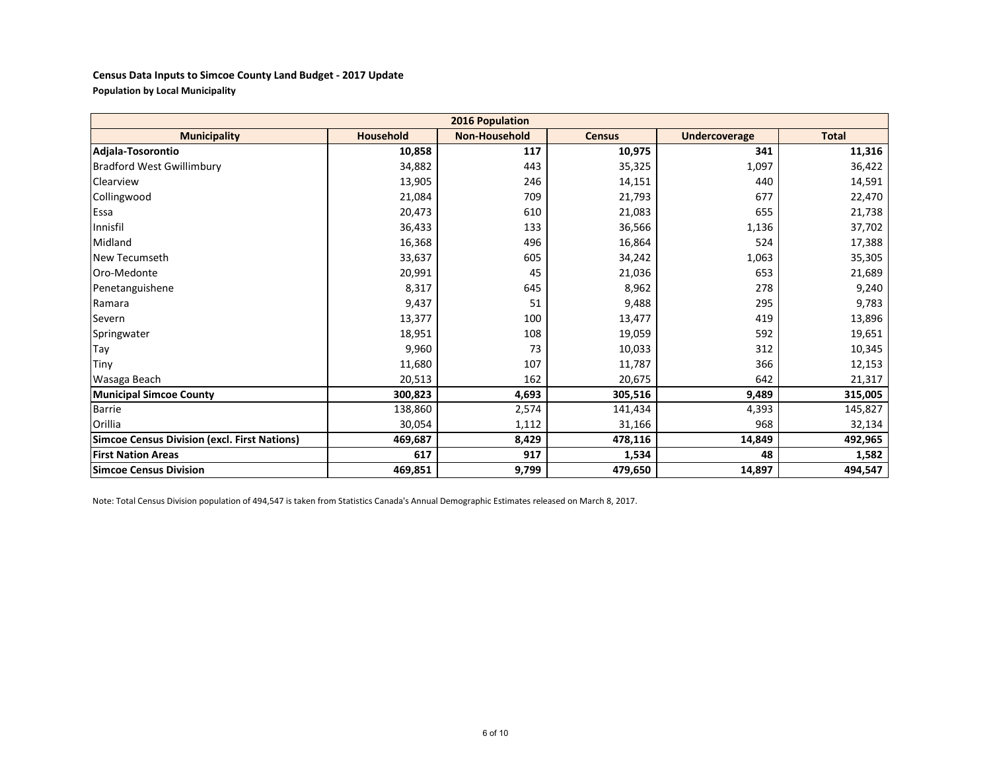### **Census Data Inputs to Simcoe County Land Budget - 2017 Update Population by Local Municipality**

|                                                     |                  | <b>2016 Population</b> |               |                      |              |
|-----------------------------------------------------|------------------|------------------------|---------------|----------------------|--------------|
| <b>Municipality</b>                                 | <b>Household</b> | <b>Non-Household</b>   | <b>Census</b> | <b>Undercoverage</b> | <b>Total</b> |
| Adjala-Tosorontio                                   | 10,858           | 117                    | 10,975        | 341                  | 11,316       |
| <b>Bradford West Gwillimbury</b>                    | 34,882           | 443                    | 35,325        | 1,097                | 36,422       |
| Clearview                                           | 13,905           | 246                    | 14,151        | 440                  | 14,591       |
| Collingwood                                         | 21,084           | 709                    | 21,793        | 677                  | 22,470       |
| Essa                                                | 20,473           | 610                    | 21,083        | 655                  | 21,738       |
| Innisfil                                            | 36,433           | 133                    | 36,566        | 1,136                | 37,702       |
| Midland                                             | 16,368           | 496                    | 16,864        | 524                  | 17,388       |
| <b>New Tecumseth</b>                                | 33,637           | 605                    | 34,242        | 1,063                | 35,305       |
| Oro-Medonte                                         | 20,991           | 45                     | 21,036        | 653                  | 21,689       |
| Penetanguishene                                     | 8,317            | 645                    | 8,962         | 278                  | 9,240        |
| Ramara                                              | 9,437            | 51                     | 9,488         | 295                  | 9,783        |
| Severn                                              | 13,377           | 100                    | 13,477        | 419                  | 13,896       |
| Springwater                                         | 18,951           | 108                    | 19,059        | 592                  | 19,651       |
| Tay                                                 | 9,960            | 73                     | 10,033        | 312                  | 10,345       |
| Tiny                                                | 11,680           | 107                    | 11,787        | 366                  | 12,153       |
| Wasaga Beach                                        | 20,513           | 162                    | 20,675        | 642                  | 21,317       |
| <b>Municipal Simcoe County</b>                      | 300,823          | 4,693                  | 305,516       | 9,489                | 315,005      |
| <b>Barrie</b>                                       | 138,860          | 2,574                  | 141,434       | 4,393                | 145,827      |
| Orillia                                             | 30,054           | 1,112                  | 31,166        | 968                  | 32,134       |
| <b>Simcoe Census Division (excl. First Nations)</b> | 469,687          | 8,429                  | 478,116       | 14,849               | 492,965      |
| <b>First Nation Areas</b>                           | 617              | 917                    | 1,534         | 48                   | 1,582        |
| <b>Simcoe Census Division</b>                       | 469,851          | 9,799                  | 479,650       | 14,897               | 494,547      |

Note: Total Census Division population of 494,547 is taken from Statistics Canada's Annual Demographic Estimates released on March 8, 2017.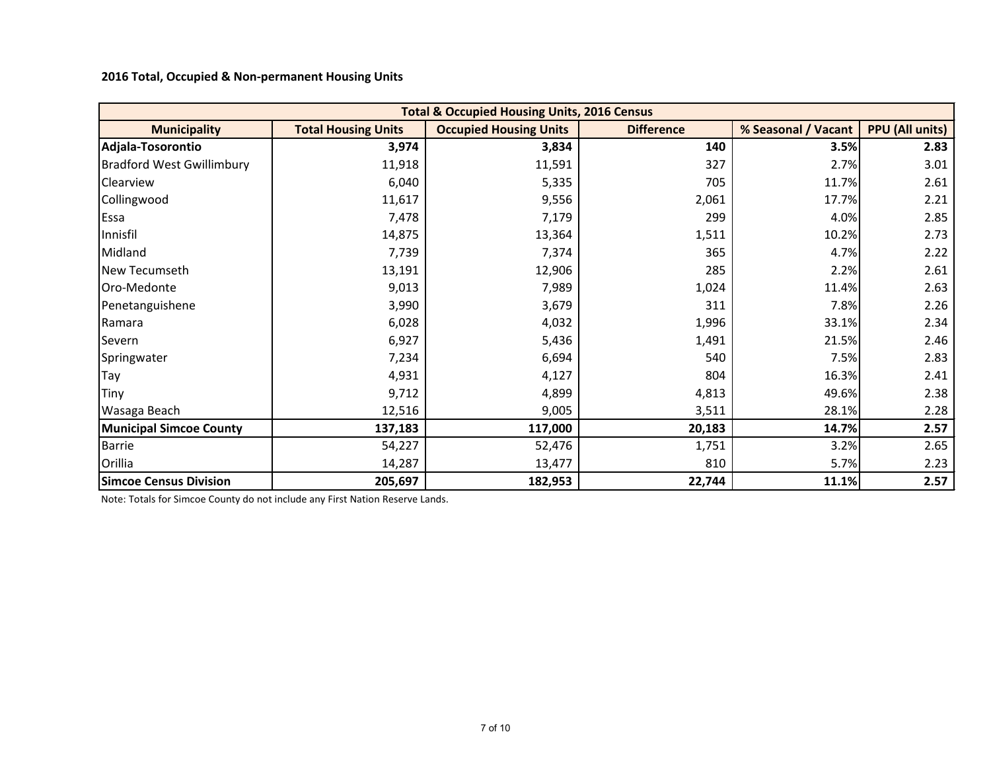**2016 Total, Occupied & Non-permanent Housing Units** 

|                                  |                            | <b>Total &amp; Occupied Housing Units, 2016 Census</b> |                   |                     |                        |
|----------------------------------|----------------------------|--------------------------------------------------------|-------------------|---------------------|------------------------|
| <b>Municipality</b>              | <b>Total Housing Units</b> | <b>Occupied Housing Units</b>                          | <b>Difference</b> | % Seasonal / Vacant | <b>PPU (All units)</b> |
| Adjala-Tosorontio                | 3,974                      | 3,834                                                  | 140               | 3.5%                | 2.83                   |
| <b>Bradford West Gwillimbury</b> | 11,918                     | 11,591                                                 | 327               | 2.7%                | 3.01                   |
| Clearview                        | 6,040                      | 5,335                                                  | 705               | 11.7%               | 2.61                   |
| Collingwood                      | 11,617                     | 9,556                                                  | 2,061             | 17.7%               | 2.21                   |
| Essa                             | 7,478                      | 7,179                                                  | 299               | 4.0%                | 2.85                   |
| Innisfil                         | 14,875                     | 13,364                                                 | 1,511             | 10.2%               | 2.73                   |
| Midland                          | 7,739                      | 7,374                                                  | 365               | 4.7%                | 2.22                   |
| New Tecumseth                    | 13,191                     | 12,906                                                 | 285               | 2.2%                | 2.61                   |
| Oro-Medonte                      | 9,013                      | 7,989                                                  | 1,024             | 11.4%               | 2.63                   |
| Penetanguishene                  | 3,990                      | 3,679                                                  | 311               | 7.8%                | 2.26                   |
| Ramara                           | 6,028                      | 4,032                                                  | 1,996             | 33.1%               | 2.34                   |
| Severn                           | 6,927                      | 5,436                                                  | 1,491             | 21.5%               | 2.46                   |
| Springwater                      | 7,234                      | 6,694                                                  | 540               | 7.5%                | 2.83                   |
| <b>ITay</b>                      | 4,931                      | 4,127                                                  | 804               | 16.3%               | 2.41                   |
| Tiny                             | 9,712                      | 4,899                                                  | 4,813             | 49.6%               | 2.38                   |
| Wasaga Beach                     | 12,516                     | 9,005                                                  | 3,511             | 28.1%               | 2.28                   |
| <b>Municipal Simcoe County</b>   | 137,183                    | 117,000                                                | 20,183            | 14.7%               | 2.57                   |
| <b>Barrie</b>                    | 54,227                     | 52,476                                                 | 1,751             | 3.2%                | 2.65                   |
| Orillia                          | 14,287                     | 13,477                                                 | 810               | 5.7%                | 2.23                   |
| <b>Simcoe Census Division</b>    | 205,697                    | 182,953                                                | 22,744            | 11.1%               | 2.57                   |

Note: Totals for Simcoe County do not include any First Nation Reserve Lands.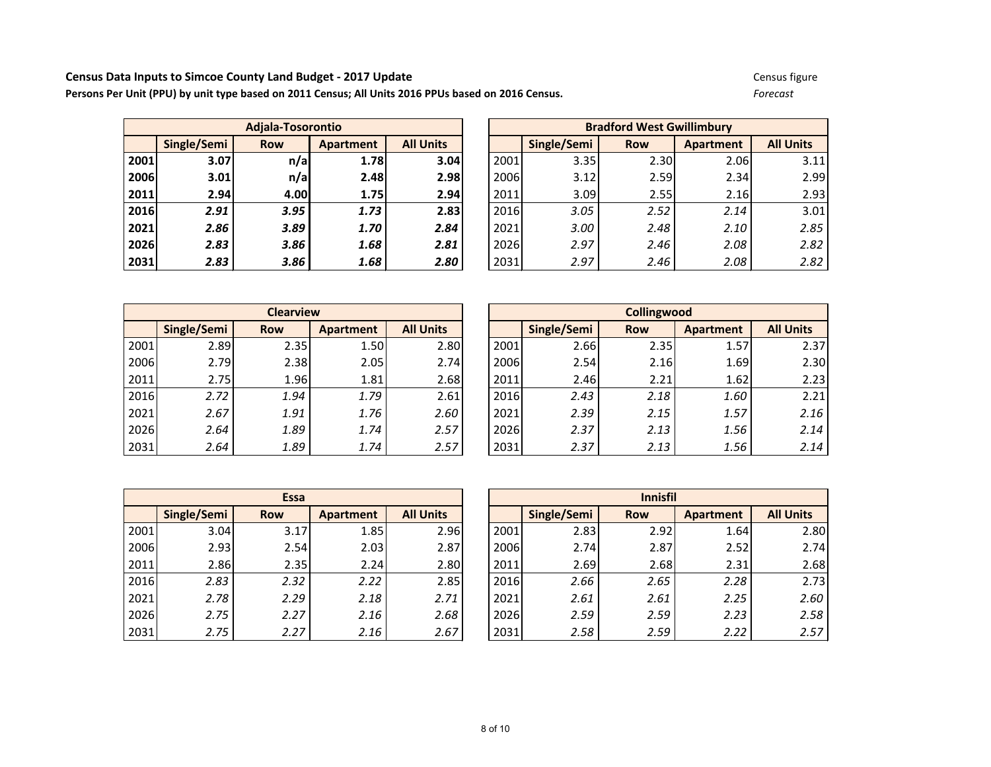#### **Census Data Inputs to Simcoe County Land Budget - 2017 Update** Communication Census figure Census figure

**Persons Per Unit (PPU) by unit type based on 2011 Census; All Units 2016 PPUs based on 2016 Census.** *Forecast*

|      |             | Adjala-Tosorontio |           |                  |      |             |            |                  |                  |
|------|-------------|-------------------|-----------|------------------|------|-------------|------------|------------------|------------------|
|      | Single/Semi | <b>Row</b>        | Apartment | <b>All Units</b> |      | Single/Semi | <b>Row</b> | <b>Apartment</b> | <b>All Units</b> |
| 2001 | 3.07        | n/a               | 1.78      | 3.04             | 2001 | 3.35        | 2.30       | 2.06             | 3.11             |
| 2006 | 3.01        | n/a               | 2.48      | 2.98             | 2006 | 3.12        | 2.59       | 2.34             | 2.99             |
| 2011 | 2.94        | 4.00              | 1.75      | 2.94             | 2011 | 3.09        | 2.55       | 2.16             | 2.93             |
| 2016 | 2.91        | 3.95              | 1.73      | 2.83             | 2016 | 3.05        | 2.52       | 2.14             | 3.01             |
| 2021 | 2.86        | 3.89              | 1.70      | 2.84             | 2021 | 3.00        | 2.48       | 2.10             | 2.85             |
| 2026 | 2.83        | 3.86              | 1.68      | 2.81             | 2026 | 2.97        | 2.46       | 2.08             | 2.82             |
| 2031 | 2.83        | 3.86              | 1.68      | 2.80             | 2031 | 2.97        | 2.46       | 2.08             | 2.82             |

|             | <b>Adjala-Tosorontio</b> |           |                  | <b>Bradford West Gwillimbury</b> |             |            |                  |                  |  |  |
|-------------|--------------------------|-----------|------------------|----------------------------------|-------------|------------|------------------|------------------|--|--|
| Single/Semi | <b>Row</b>               | Apartment | <b>All Units</b> |                                  | Single/Semi | <b>Row</b> | <b>Apartment</b> | <b>All Units</b> |  |  |
| 3.07        | n/a                      | 1.78      | 3.04             | 2001                             | 3.35        | 2.30       | 2.06             | 3.11             |  |  |
| 3.01        | n/a                      | 2.48      | 2.98             | 2006                             | 3.12        | 2.59       | 2.34             | 2.99             |  |  |
| 2.94        | 4.00                     | 1.75      | 2.94             | 2011                             | 3.09        | 2.55       | 2.16             | 2.93             |  |  |
| 2.91        | 3.95                     | 1.73      | 2.83             | 2016                             | 3.05        | 2.52       | 2.14             | 3.01             |  |  |
| 2.86        | 3.89                     | 1.70      | 2.84             | 2021                             | 3.00        | 2.48       | 2.10             | 2.85             |  |  |
| 2.83        | 3.86                     | 1.68      | 2.81             | 2026                             | 2.97        | 2.46       | 2.08             | 2.82             |  |  |
| 2.83        | 3.86                     | 1.68      | 2.80             | 2031                             | 2.97        | 2.46       | 2.08             | 2.82             |  |  |

|      |             | <b>Clearview</b> |           |                  | <b>Collingwood</b> |             |            |           |                  |  |  |
|------|-------------|------------------|-----------|------------------|--------------------|-------------|------------|-----------|------------------|--|--|
|      | Single/Semi | <b>Row</b>       | Apartment | <b>All Units</b> |                    | Single/Semi | <b>Row</b> | Apartment | <b>All Units</b> |  |  |
| 2001 | 2.89        | 2.35             | 1.50      | 2.80             | 2001               | 2.66        | 2.35       | 1.57      | 2.37             |  |  |
| 2006 | 2.79        | 2.38             | 2.05      | 2.74             | 2006               | 2.54        | 2.16       | 1.69      | 2.3 <sub>0</sub> |  |  |
| 2011 | 2.75        | 1.96             | 1.81      | 2.68             | 2011               | 2.46        | 2.21       | 1.62      | 2.23             |  |  |
| 2016 | 2.72        | 1.94             | 1.79      | 2.61             | 2016               | 2.43        | 2.18       | 1.60      | $2.2^{\circ}$    |  |  |
| 2021 | 2.67        | 1.91             | 1.76      | 2.60             | 2021               | 2.39        | 2.15       | 1.57      | 2.16             |  |  |
| 2026 | 2.64        | 1.89             | 1.74      | 2.57             | 2026               | 2.37        | 2.13       | 1.56      | 2.14             |  |  |
| 2031 | 2.64        | 1.89             | 1.74      | 2.57             | 2031               | 2.37        | 2.13       | 1.56      | 2.14             |  |  |

|      |             | <b>Clearview</b> |           |                  | Collingwood |             |            |           |                  |  |  |
|------|-------------|------------------|-----------|------------------|-------------|-------------|------------|-----------|------------------|--|--|
|      | Single/Semi | <b>Row</b>       | Apartment | <b>All Units</b> |             | Single/Semi | <b>Row</b> | Apartment | <b>All Units</b> |  |  |
| 2001 | 2.89        | 2.35             | 1.50      | 2.80             | 2001        | 2.66        | 2.35       | 1.57      | 2.37             |  |  |
| 2006 | 2.79        | 2.38             | 2.05      | 2.74             | 2006        | 2.54        | 2.16       | 1.69      | 2.30             |  |  |
| 2011 | 2.75        | 1.96             | 1.81      | 2.68             | 2011        | 2.46        | 2.21       | 1.62      | 2.23             |  |  |
| 2016 | 2.72        | 1.94             | 1.79      | 2.61             | 2016        | 2.43        | 2.18       | 1.60      | 2.21             |  |  |
| 2021 | 2.67        | 1.91             | 1.76      | 2.60             | 2021        | 2.39        | 2.15       | 1.57      | 2.16             |  |  |
| 2026 | 2.64        | 1.89             | 1.74      | 2.57             | 2026        | 2.37        | 2.13       | 1.56      | 2.14             |  |  |
| 2031 | 2.64        | 1.89             | 1.74      | 2.57             | 2031        | 2.37        | 2.13       | 1.56      | 2.14             |  |  |

|      |             | <b>Essa</b> |                  |                  |
|------|-------------|-------------|------------------|------------------|
|      | Single/Semi | <b>Row</b>  | <b>Apartment</b> | <b>All Units</b> |
| 2001 | 3.04        | 3.17        | 1.85             | 2.96             |
| 2006 | 2.93        | 2.54        | 2.03             | 2.87             |
| 2011 | 2.86        | 2.35        | 2.24             | 2.80             |
| 2016 | 2.83        | 2.32        | 2.22             | 2.85             |
| 2021 | 2.78        | 2.29        | 2.18             | 2.71             |
| 2026 | 2.75        | 2.27        | 2.16             | 2.68             |
| 2031 | 2.75        | 2.27        | 2.16             | 2.67             |

|      |             | <b>Essa</b> |           |                  | <b>Innisfil</b> |             |            |           |                  |  |  |  |
|------|-------------|-------------|-----------|------------------|-----------------|-------------|------------|-----------|------------------|--|--|--|
|      | Single/Semi | <b>Row</b>  | Apartment | <b>All Units</b> |                 | Single/Semi | <b>Row</b> | Apartment | <b>All Units</b> |  |  |  |
| 2001 | 3.04        | 3.17        | 1.85      | 2.96             | 2001            | 2.83        | 2.92       | 1.64      | 2.80             |  |  |  |
| 2006 | 2.93        | 2.54        | 2.03      | 2.87             | 2006            | 2.74        | 2.87       | 2.52      | 2.74             |  |  |  |
| 2011 | 2.86        | 2.35        | 2.24      | 2.80             | 2011            | 2.69        | 2.68       | 2.31      | 2.68             |  |  |  |
| 2016 | 2.83        | 2.32        | 2.22      | 2.85             | 2016            | 2.66        | 2.65       | 2.28      | 2.73             |  |  |  |
| 2021 | 2.78        | 2.29        | 2.18      | 2.71             | 2021            | 2.61        | 2.61       | 2.25      | 2.60             |  |  |  |
| 2026 | 2.75        | 2.27        | 2.16      | 2.68             | 2026            | 2.59        | 2.59       | 2.23      | 2.58             |  |  |  |
| 2031 | 2.75        | 2.27        | 2.16      | 2.67             | 2031            | 2.58        | 2.59       | 2.22      | 2.57             |  |  |  |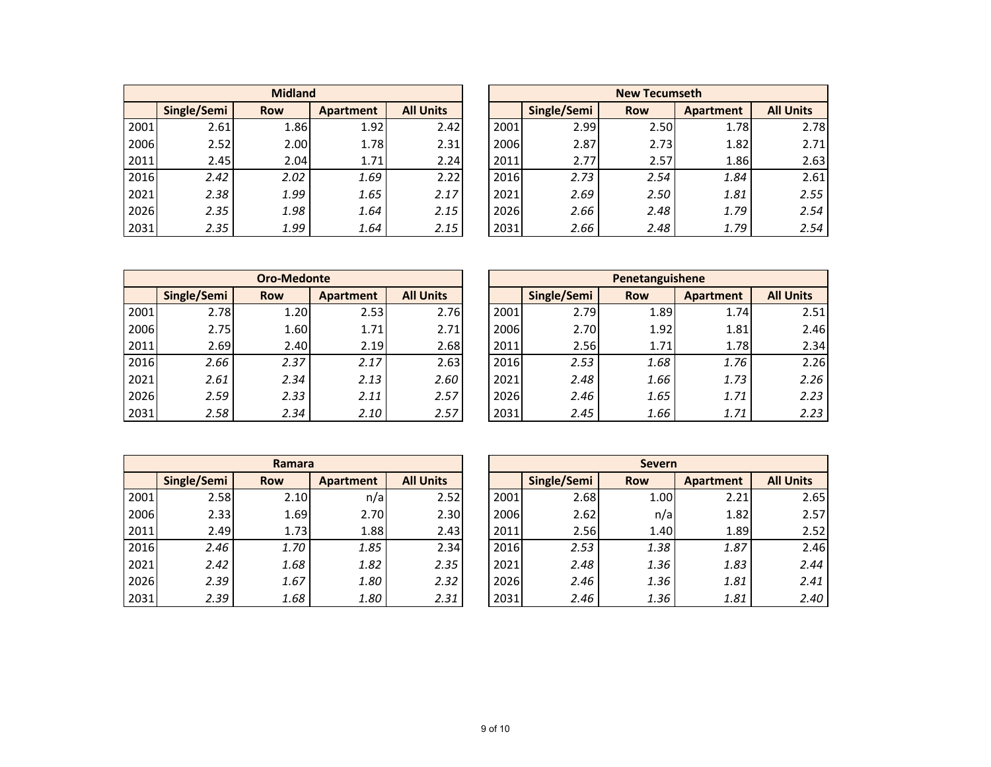|      | <b>Midland</b>                                                    |      |      |      |  |  |  |  |  |  |  |  |
|------|-------------------------------------------------------------------|------|------|------|--|--|--|--|--|--|--|--|
|      | <b>All Units</b><br>Single/Semi<br><b>Apartment</b><br><b>Row</b> |      |      |      |  |  |  |  |  |  |  |  |
| 2001 | 2.61                                                              | 1.86 | 1.92 | 2.42 |  |  |  |  |  |  |  |  |
| 2006 | 2.52                                                              | 2.00 | 1.78 | 2.31 |  |  |  |  |  |  |  |  |
| 2011 | 2.45                                                              | 2.04 | 1.71 | 2.24 |  |  |  |  |  |  |  |  |
| 2016 | 2.42                                                              | 2.02 | 1.69 | 2.22 |  |  |  |  |  |  |  |  |
| 2021 | 2.38                                                              | 1.99 | 1.65 | 2.17 |  |  |  |  |  |  |  |  |
| 2026 | 2.35                                                              | 1.98 | 1.64 | 2.15 |  |  |  |  |  |  |  |  |
| 2031 | 2.35                                                              | 1.99 | 1.64 | 2.15 |  |  |  |  |  |  |  |  |

|      |             | <b>Midland</b> |           |                  |      |             | <b>New Tecumseth</b> |           |                  |
|------|-------------|----------------|-----------|------------------|------|-------------|----------------------|-----------|------------------|
|      | Single/Semi | <b>Row</b>     | Apartment | <b>All Units</b> |      | Single/Semi | <b>Row</b>           | Apartment | <b>All Units</b> |
| 2001 | 2.61        | 1.86           | 1.92      | 2.42             | 2001 | 2.99        | 2.50                 | 1.78      | 2.78             |
| 2006 | 2.52        | 2.00           | 1.78      | 2.31             | 2006 | 2.87        | 2.73                 | 1.82      | 2.71             |
| 2011 | 2.45        | 2.04           | 1.71      | 2.24             | 2011 | 2.77        | 2.57                 | 1.86      | 2.63             |
| 2016 | 2.42        | 2.02           | 1.69      | 2.22             | 2016 | 2.73        | 2.54                 | 1.84      | 2.61             |
| 2021 | 2.38        | 1.99           | 1.65      | 2.17             | 2021 | 2.69        | 2.50                 | 1.81      | 2.55             |
| 2026 | 2.35        | 1.98           | 1.64      | 2.15             | 2026 | 2.66        | 2.48                 | 1.79      | 2.54             |
| 2031 | 2.35        | 1.99           | 1.64      | 2.15             | 2031 | 2.66        | 2.48                 | 1.79      | 2.54             |

|      |             | <b>Oro-Medonte</b> |           |                  |      |             | Penetanguishene |           |                  |
|------|-------------|--------------------|-----------|------------------|------|-------------|-----------------|-----------|------------------|
|      | Single/Semi | <b>Row</b>         | Apartment | <b>All Units</b> |      | Single/Semi | <b>Row</b>      | Apartment | <b>All Units</b> |
| 2001 | 2.78        | 1.20               | 2.53      | 2.76             | 2001 | 2.79        | 1.89            | 1.74      | $2.5^{\circ}$    |
| 2006 | 2.75        | 1.60               | 1.71      | 2.71             | 2006 | 2.70        | 1.92            | 1.81      | 2.46             |
| 2011 | 2.69        | 2.40               | 2.19      | 2.68             | 2011 | 2.56        | 1.71            | 1.78      | 2.34             |
| 2016 | 2.66        | 2.37               | 2.17      | 2.63             | 2016 | 2.53        | 1.68            | 1.76      | 2.26             |
| 2021 | 2.61        | 2.34               | 2.13      | 2.60             | 2021 | 2.48        | 1.66            | 1.73      | 2.26             |
| 2026 | 2.59        | 2.33               | 2.11      | 2.57             | 2026 | 2.46        | 1.65            | 1.71      | 2.23             |
| 2031 | 2.58        | 2.34               | 2.10      | 2.57             | 2031 | 2.45        | 1.66            | 1.71      | 2.23             |

|      |             | <b>Oro-Medonte</b> |           |                  |      |             | Penetanguishene |           |                  |
|------|-------------|--------------------|-----------|------------------|------|-------------|-----------------|-----------|------------------|
|      | Single/Semi | <b>Row</b>         | Apartment | <b>All Units</b> |      | Single/Semi | <b>Row</b>      | Apartment | <b>All Units</b> |
| 2001 | 2.78        | 1.20               | 2.53      | 2.76             | 2001 | 2.79        | 1.89            | 1.74      | 2.51             |
| 2006 | 2.75        | 1.60               | 1.71      | 2.71             | 2006 | 2.70        | 1.92            | 1.81      | 2.46             |
| 2011 | 2.69        | 2.40               | 2.19      | 2.68             | 2011 | 2.56        | 1.71            | 1.78      | 2.34             |
| 2016 | 2.66        | 2.37               | 2.17      | 2.63             | 2016 | 2.53        | 1.68            | 1.76      | 2.26             |
| 2021 | 2.61        | 2.34               | 2.13      | 2.60             | 2021 | 2.48        | 1.66            | 1.73      | 2.26             |
| 2026 | 2.59        | 2.33               | 2.11      | 2.57             | 2026 | 2.46        | 1.65            | 1.71      | 2.23             |
| 2031 | 2.58        | 2.34               | 2.10      | 2.57             | 2031 | 2.45        | 1.66            | 1.71      | 2.23             |

|      | Ramara      |            |                  |                  |  |  |  |  |  |  |  |  |
|------|-------------|------------|------------------|------------------|--|--|--|--|--|--|--|--|
|      | Single/Semi | <b>Row</b> | <b>Apartment</b> | <b>All Units</b> |  |  |  |  |  |  |  |  |
| 2001 | 2.58        | 2.10       | n/a              | 2.52             |  |  |  |  |  |  |  |  |
| 2006 | 2.33        | 1.69       | 2.70             | 2.30             |  |  |  |  |  |  |  |  |
| 2011 | 2.49        | 1.73       | 1.88             | 2.43             |  |  |  |  |  |  |  |  |
| 2016 | 2.46        | 1.70       | 1.85             | 2.34             |  |  |  |  |  |  |  |  |
| 2021 | 2.42        | 1.68       | 1.82             | 2.35             |  |  |  |  |  |  |  |  |
| 2026 | 2.39        | 1.67       | 1.80             | 2.32             |  |  |  |  |  |  |  |  |
| 2031 | 2.39        | 1.68       | 1.80             | 2.31             |  |  |  |  |  |  |  |  |

|      |             | Ramara     |           |                  |      |             | <b>Severn</b> |                  |                  |
|------|-------------|------------|-----------|------------------|------|-------------|---------------|------------------|------------------|
|      | Single/Semi | <b>Row</b> | Apartment | <b>All Units</b> |      | Single/Semi | <b>Row</b>    | <b>Apartment</b> | <b>All Units</b> |
| 2001 | 2.58        | 2.10       | n/a       | 2.52             | 2001 | 2.68        | 1.00          | 2.21             | 2.65             |
| 2006 | 2.33        | 1.69       | 2.70      | 2.30             | 2006 | 2.62        | n/a           | 1.82             | 2.57             |
| 2011 | 2.49        | 1.73       | 1.88      | 2.43             | 2011 | 2.56        | 1.40          | 1.89             | 2.52             |
| 2016 | 2.46        | 1.70       | 1.85      | 2.34             | 2016 | 2.53        | 1.38          | 1.87             | 2.46             |
| 2021 | 2.42        | 1.68       | 1.82      | 2.35             | 2021 | 2.48        | 1.36          | 1.83             | 2.44             |
| 2026 | 2.39        | 1.67       | 1.80      | 2.32             | 2026 | 2.46        | 1.36          | 1.81             | 2.41             |
| 2031 | 2.39        | 1.68       | 1.80      | 2.31             | 2031 | 2.46        | 1.36          | 1.81             | 2.40             |